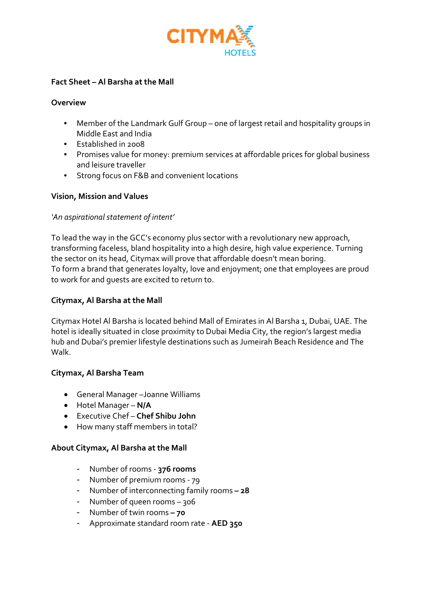

## **Fact Sheet – Al Barsha at the Mall**

#### **Overview**

- Member of the Landmark Gulf Group one of largest retail and hospitality groups in Middle East and India
- Established in 2008
- Promises value for money: premium services at affordable prices for global business and leisure traveller
- Strong focus on F&B and convenient locations

## **Vision, Mission and Values**

## *'An aspirational statement of intent'*

To lead the way in the GCC's economy plus sector with a revolutionary new approach, transforming faceless, bland hospitality into a high desire, high value experience. Turning the sector on its head, Citymax will prove that affordable doesn't mean boring. To form a brand that generates loyalty, love and enjoyment; one that employees are proud to work for and guests are excited to return to.

## **Citymax, Al Barsha at the Mall**

Citymax Hotel Al Barsha is located behind Mall of Emirates in Al Barsha 1, Dubai, UAE. The hotel is ideally situated in close proximity to Dubai Media City, the region's largest media hub and Dubai's premier lifestyle destinations such as Jumeirah Beach Residence and The Walk.

## **Citymax, Al Barsha Team**

- General Manager –Joanne Williams
- Hotel Manager **N/A**
- Executive Chef **Chef Shibu John**
- How many staff members in total?

## **About Citymax, Al Barsha at the Mall**

- Number of rooms ‐ **376 rooms**
- Number of premium rooms ‐ 79
- Number of interconnecting family rooms **– 28**
- Number of queen rooms 306
- Number of twin rooms **– 70**
- Approximate standard room rate ‐ **AED 350**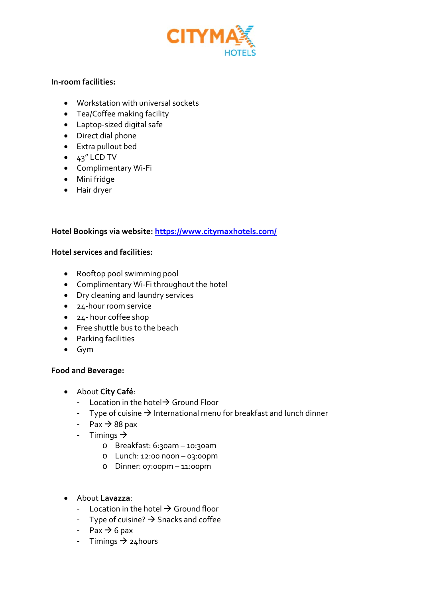

## **In‐room facilities:**

- Workstation with universal sockets
- Tea/Coffee making facility
- Laptop‐sized digital safe
- Direct dial phone
- Extra pullout bed
- $\bullet$  43" LCD TV
- Complimentary Wi‐Fi
- Mini fridge
- Hair dryer

# **Hotel Bookings via website: https://www.citymaxhotels.com/**

## **Hotel services and facilities:**

- Rooftop pool swimming pool
- Complimentary Wi‐Fi throughout the hotel
- Dry cleaning and laundry services
- 24-hour room service
- 24- hour coffee shop
- Free shuttle bus to the beach
- Parking facilities
- Gym

## **Food and Beverage:**

- About **City Café**:
	- Location in the hotel  $\rightarrow$  Ground Floor
	- Type of cuisine  $\rightarrow$  International menu for breakfast and lunch dinner
	- $-$  Pax  $\rightarrow$  88 pax
	- Timings  $\rightarrow$ 
		- o Breakfast: 6:30am 10:30am
		- o Lunch: 12:00 noon 03:00pm
		- o Dinner: 07:00pm 11:00pm
- About **Lavazza**:
	- Location in the hotel  $\rightarrow$  Ground floor
	- Type of cuisine?  $\rightarrow$  Snacks and coffee
	- Pax  $\rightarrow$  6 pax
	- Timings  $\rightarrow$  24 hours